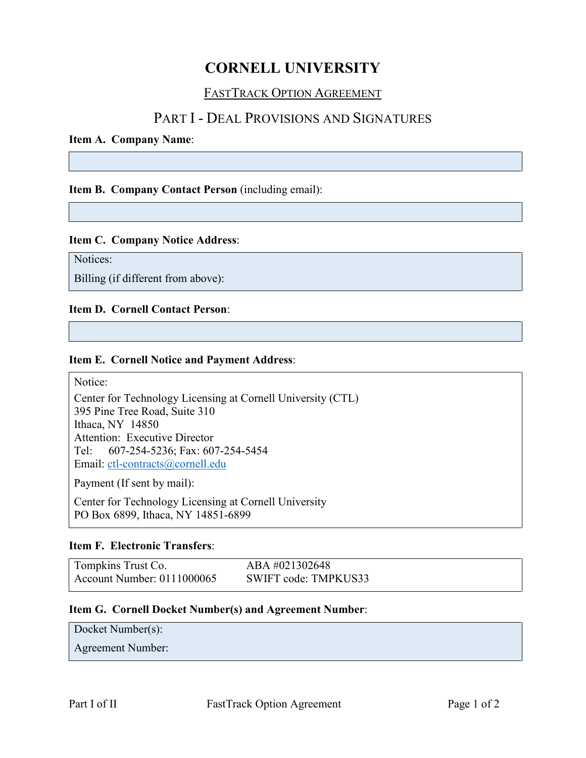# **CORNELL UNIVERSITY**

### FASTTRACK OPTION AGREEMENT

## PART I - DEAL PROVISIONS AND SIGNATURES

#### **Item A. Company Name**:

**Item B. Company Contact Person** (including email):

#### **Item C. Company Notice Address**:

Notices:

Billing (if different from above):

#### **Item D. Cornell Contact Person**:

#### **Item E. Cornell Notice and Payment Address**:

Notice:

Center for Technology Licensing at Cornell University (CTL) 395 Pine Tree Road, Suite 310 Ithaca, NY 14850 Attention: Executive Director Tel: 607-254-5236; Fax: 607-254-5454 Email: [ctl-contracts@cornell.edu](mailto:ctl-contracts@cornell.edu)

Payment (If sent by mail):

Center for Technology Licensing at Cornell University PO Box 6899, Ithaca, NY 14851-6899

#### **Item F. Electronic Transfers**:

| Tompkins Trust Co.         | ABA #021302648       |
|----------------------------|----------------------|
| Account Number: 0111000065 | SWIFT code: TMPKUS33 |

#### **Item G. Cornell Docket Number(s) and Agreement Number**:

Docket Number(s):

Agreement Number: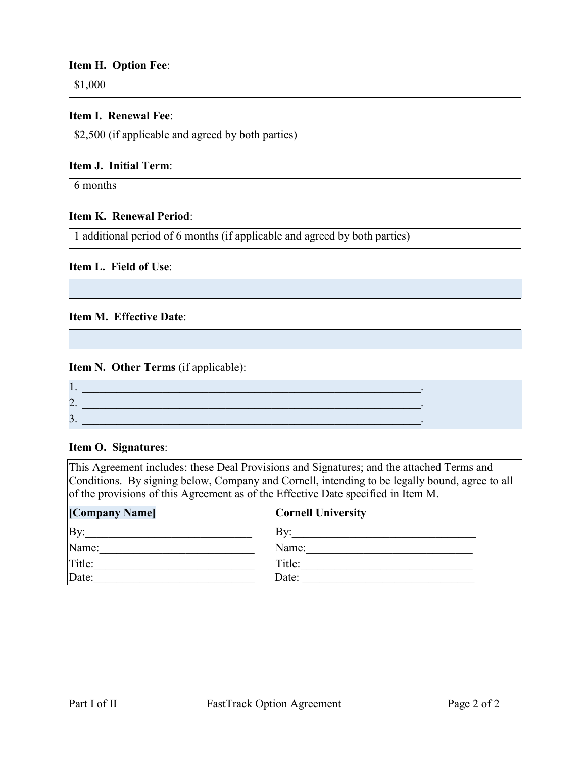#### **Item H. Option Fee**:

\$1,000

#### **Item I. Renewal Fee**:

\$2,500 (if applicable and agreed by both parties)

#### **Item J. Initial Term**:

6 months

#### **Item K. Renewal Period**:

1 additional period of 6 months (if applicable and agreed by both parties)

#### **Item L. Field of Use**:

#### **Item M. Effective Date**:

#### **Item N. Other Terms** (if applicable):

| . . |  |
|-----|--|
| ▱   |  |
|     |  |

#### **Item O. Signatures**:

This Agreement includes: these Deal Provisions and Signatures; and the attached Terms and Conditions. By signing below, Company and Cornell, intending to be legally bound, agree to all of the provisions of this Agreement as of the Effective Date specified in Item M.

| [Company Name] | <b>Cornell University</b> |
|----------------|---------------------------|
| By:            | By:                       |
| Name:          | Name:                     |
| Title:         | Title:                    |
| Date:          | Date:                     |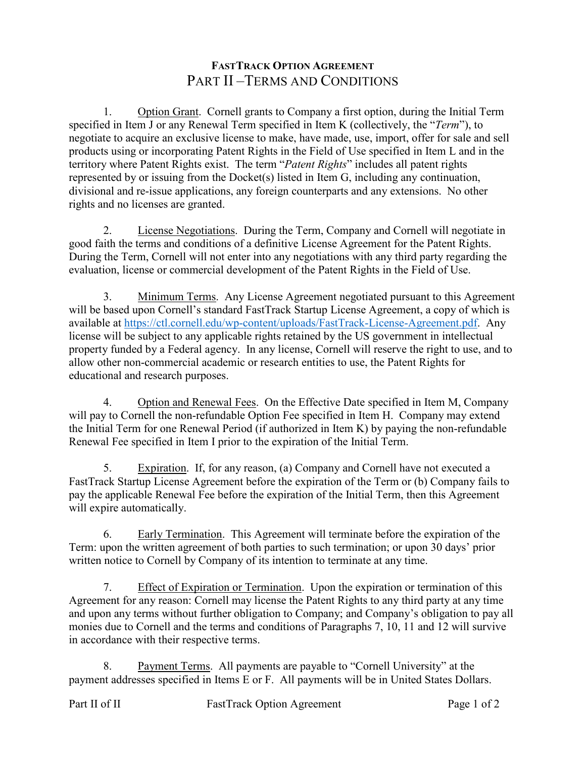### **FASTTRACK OPTION AGREEMENT** PART II –TERMS AND CONDITIONS

1. Option Grant. Cornell grants to Company a first option, during the Initial Term specified in Item J or any Renewal Term specified in Item K (collectively, the "*Term*"), to negotiate to acquire an exclusive license to make, have made, use, import, offer for sale and sell products using or incorporating Patent Rights in the Field of Use specified in Item L and in the territory where Patent Rights exist. The term "*Patent Rights*" includes all patent rights represented by or issuing from the Docket(s) listed in Item G, including any continuation, divisional and re-issue applications, any foreign counterparts and any extensions. No other rights and no licenses are granted.

2. License Negotiations. During the Term, Company and Cornell will negotiate in good faith the terms and conditions of a definitive License Agreement for the Patent Rights. During the Term, Cornell will not enter into any negotiations with any third party regarding the evaluation, license or commercial development of the Patent Rights in the Field of Use.

3. Minimum Terms. Any License Agreement negotiated pursuant to this Agreement will be based upon Cornell's standard FastTrack Startup License Agreement, a copy of which is available at [https://ctl.cornell.edu/wp-content/uploads/FastTrack-License-Agreement.pdf.](https://ctl.cornell.edu/wp-content/uploads/FastTrack-License-Agreement.pdf) Any license will be subject to any applicable rights retained by the US government in intellectual property funded by a Federal agency. In any license, Cornell will reserve the right to use, and to allow other non-commercial academic or research entities to use, the Patent Rights for educational and research purposes.

4. Option and Renewal Fees. On the Effective Date specified in Item M, Company will pay to Cornell the non-refundable Option Fee specified in Item H. Company may extend the Initial Term for one Renewal Period (if authorized in Item K) by paying the non-refundable Renewal Fee specified in Item I prior to the expiration of the Initial Term.

5. Expiration. If, for any reason, (a) Company and Cornell have not executed a FastTrack Startup License Agreement before the expiration of the Term or (b) Company fails to pay the applicable Renewal Fee before the expiration of the Initial Term, then this Agreement will expire automatically.

6. Early Termination.This Agreement will terminate before the expiration of the Term: upon the written agreement of both parties to such termination; or upon 30 days' prior written notice to Cornell by Company of its intention to terminate at any time.

7. Effect of Expiration or Termination. Upon the expiration or termination of this Agreement for any reason: Cornell may license the Patent Rights to any third party at any time and upon any terms without further obligation to Company; and Company's obligation to pay all monies due to Cornell and the terms and conditions of Paragraphs 7, 10, 11 and 12 will survive in accordance with their respective terms.

8. Payment Terms.All payments are payable to "Cornell University" at the payment addresses specified in Items E or F. All payments will be in United States Dollars.

Part II of II FastTrack Option Agreement Page 1 of 2